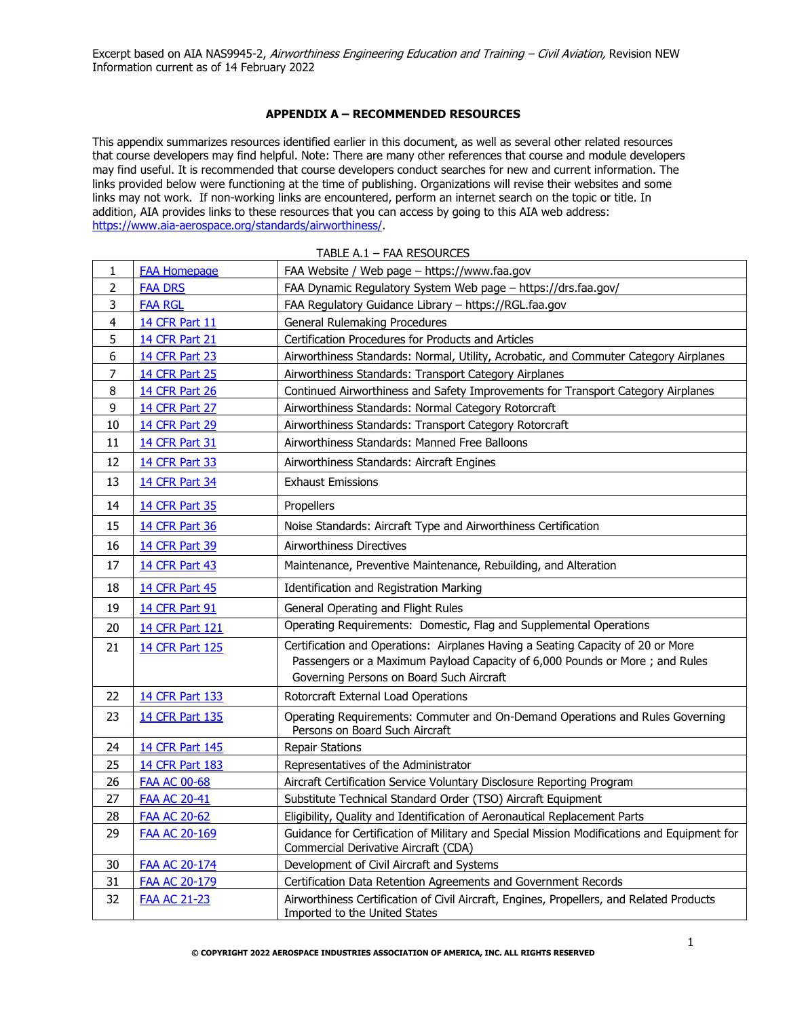### **APPENDIX A – RECOMMENDED RESOURCES**

This appendix summarizes resources identified earlier in this document, as well as several other related resources that course developers may find helpful. Note: There are many other references that course and module developers may find useful. It is recommended that course developers conduct searches for new and current information. The links provided below were functioning at the time of publishing. Organizations will revise their websites and some links may not work. If non-working links are encountered, perform an internet search on the topic or title. In addition, AIA provides links to these resources that you can access by going to this AIA web address: [https://www.aia-aerospace.org/standards/airworthiness/.](https://www.aia-aerospace.org/standards/airworthiness/)

| 1              | <b>FAA Homepage</b>    | FAA Website / Web page - https://www.faa.gov                                                                                       |
|----------------|------------------------|------------------------------------------------------------------------------------------------------------------------------------|
| $\overline{2}$ | <b>FAA DRS</b>         | FAA Dynamic Regulatory System Web page - https://drs.faa.gov/                                                                      |
| 3              | <b>FAA RGL</b>         | FAA Regulatory Guidance Library - https://RGL.faa.gov                                                                              |
| $\overline{4}$ | <b>14 CFR Part 11</b>  | <b>General Rulemaking Procedures</b>                                                                                               |
| 5              | <b>14 CFR Part 21</b>  | Certification Procedures for Products and Articles                                                                                 |
| 6              | <b>14 CFR Part 23</b>  | Airworthiness Standards: Normal, Utility, Acrobatic, and Commuter Category Airplanes                                               |
| $\overline{7}$ | 14 CFR Part 25         | Airworthiness Standards: Transport Category Airplanes                                                                              |
| 8              | <b>14 CFR Part 26</b>  | Continued Airworthiness and Safety Improvements for Transport Category Airplanes                                                   |
| 9              | 14 CFR Part 27         | Airworthiness Standards: Normal Category Rotorcraft                                                                                |
| 10             | 14 CFR Part 29         | Airworthiness Standards: Transport Category Rotorcraft                                                                             |
| 11             | <b>14 CFR Part 31</b>  | Airworthiness Standards: Manned Free Balloons                                                                                      |
| 12             | <b>14 CFR Part 33</b>  | Airworthiness Standards: Aircraft Engines                                                                                          |
| 13             | 14 CFR Part 34         | <b>Exhaust Emissions</b>                                                                                                           |
| 14             | <b>14 CFR Part 35</b>  | Propellers                                                                                                                         |
| 15             | 14 CFR Part 36         | Noise Standards: Aircraft Type and Airworthiness Certification                                                                     |
| 16             | 14 CFR Part 39         | <b>Airworthiness Directives</b>                                                                                                    |
| 17             | <b>14 CFR Part 43</b>  | Maintenance, Preventive Maintenance, Rebuilding, and Alteration                                                                    |
| 18             | <b>14 CFR Part 45</b>  | Identification and Registration Marking                                                                                            |
| 19             | <b>14 CFR Part 91</b>  | General Operating and Flight Rules                                                                                                 |
| 20             | 14 CFR Part 121        | Operating Requirements: Domestic, Flag and Supplemental Operations                                                                 |
| 21             | <b>14 CFR Part 125</b> | Certification and Operations: Airplanes Having a Seating Capacity of 20 or More                                                    |
|                |                        | Passengers or a Maximum Payload Capacity of 6,000 Pounds or More; and Rules<br>Governing Persons on Board Such Aircraft            |
| 22             | <b>14 CFR Part 133</b> | Rotorcraft External Load Operations                                                                                                |
| 23             | 14 CFR Part 135        | Operating Requirements: Commuter and On-Demand Operations and Rules Governing<br>Persons on Board Such Aircraft                    |
| 24             | <b>14 CFR Part 145</b> | <b>Repair Stations</b>                                                                                                             |
| 25             | <b>14 CFR Part 183</b> | Representatives of the Administrator                                                                                               |
| 26             | <b>FAA AC 00-68</b>    | Aircraft Certification Service Voluntary Disclosure Reporting Program                                                              |
| 27             | <b>FAA AC 20-41</b>    | Substitute Technical Standard Order (TSO) Aircraft Equipment                                                                       |
| 28             | <b>FAA AC 20-62</b>    | Eligibility, Quality and Identification of Aeronautical Replacement Parts                                                          |
| 29             | <b>FAA AC 20-169</b>   | Guidance for Certification of Military and Special Mission Modifications and Equipment for<br>Commercial Derivative Aircraft (CDA) |
| 30             | FAA AC 20-174          | Development of Civil Aircraft and Systems                                                                                          |
| 31             | <b>FAA AC 20-179</b>   | Certification Data Retention Agreements and Government Records                                                                     |
| 32             | <b>FAA AC 21-23</b>    | Airworthiness Certification of Civil Aircraft, Engines, Propellers, and Related Products<br>Imported to the United States          |

#### TABLE A.1 – FAA RESOURCES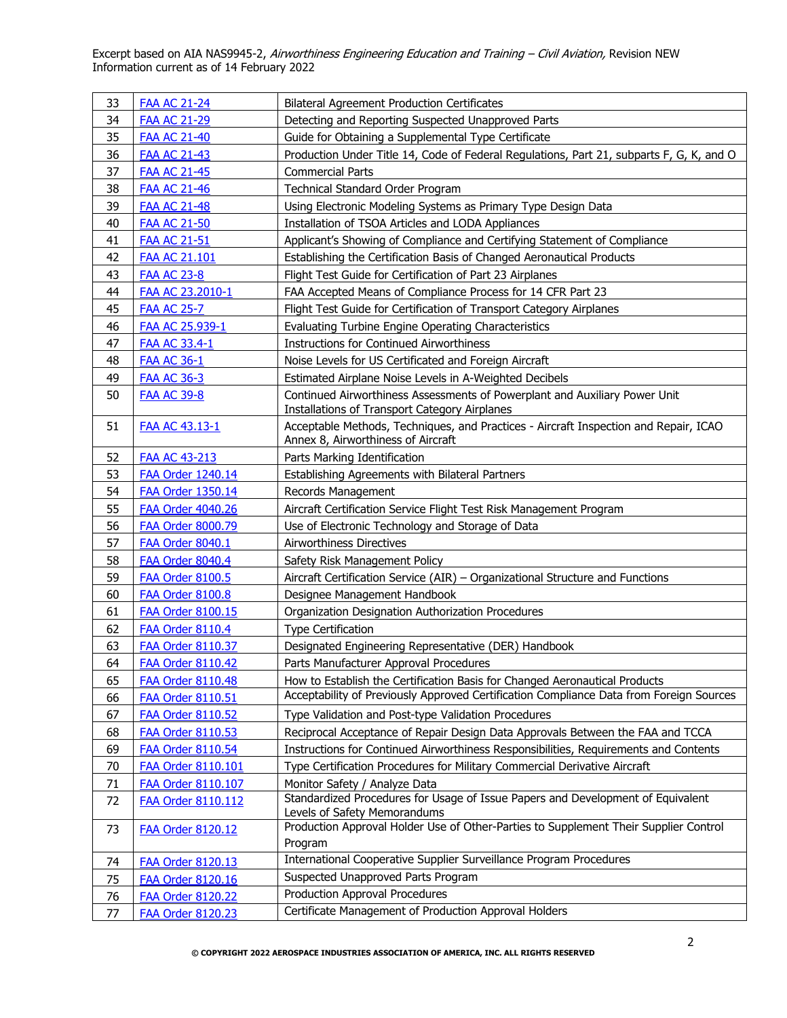| 33 | <b>FAA AC 21-24</b>       | <b>Bilateral Agreement Production Certificates</b>                                                                          |
|----|---------------------------|-----------------------------------------------------------------------------------------------------------------------------|
| 34 | <b>FAA AC 21-29</b>       | Detecting and Reporting Suspected Unapproved Parts                                                                          |
| 35 | <b>FAA AC 21-40</b>       | Guide for Obtaining a Supplemental Type Certificate                                                                         |
| 36 | <b>FAA AC 21-43</b>       | Production Under Title 14, Code of Federal Regulations, Part 21, subparts F, G, K, and O                                    |
| 37 | <b>FAA AC 21-45</b>       | <b>Commercial Parts</b>                                                                                                     |
| 38 | <b>FAA AC 21-46</b>       | Technical Standard Order Program                                                                                            |
| 39 | <b>FAA AC 21-48</b>       | Using Electronic Modeling Systems as Primary Type Design Data                                                               |
| 40 | <b>FAA AC 21-50</b>       | Installation of TSOA Articles and LODA Appliances                                                                           |
| 41 | <b>FAA AC 21-51</b>       | Applicant's Showing of Compliance and Certifying Statement of Compliance                                                    |
| 42 | FAA AC 21.101             | Establishing the Certification Basis of Changed Aeronautical Products                                                       |
| 43 | <b>FAA AC 23-8</b>        | Flight Test Guide for Certification of Part 23 Airplanes                                                                    |
| 44 | FAA AC 23.2010-1          | FAA Accepted Means of Compliance Process for 14 CFR Part 23                                                                 |
| 45 | <b>FAA AC 25-7</b>        | Flight Test Guide for Certification of Transport Category Airplanes                                                         |
| 46 | FAA AC 25.939-1           | Evaluating Turbine Engine Operating Characteristics                                                                         |
| 47 | <b>FAA AC 33.4-1</b>      | <b>Instructions for Continued Airworthiness</b>                                                                             |
| 48 | <b>FAA AC 36-1</b>        | Noise Levels for US Certificated and Foreign Aircraft                                                                       |
| 49 | <b>FAA AC 36-3</b>        | Estimated Airplane Noise Levels in A-Weighted Decibels                                                                      |
| 50 | <b>FAA AC 39-8</b>        | Continued Airworthiness Assessments of Powerplant and Auxiliary Power Unit<br>Installations of Transport Category Airplanes |
| 51 | <b>FAA AC 43.13-1</b>     | Acceptable Methods, Techniques, and Practices - Aircraft Inspection and Repair, ICAO<br>Annex 8, Airworthiness of Aircraft  |
| 52 | FAA AC 43-213             | Parts Marking Identification                                                                                                |
| 53 | <b>FAA Order 1240.14</b>  | Establishing Agreements with Bilateral Partners                                                                             |
| 54 | <b>FAA Order 1350.14</b>  | Records Management                                                                                                          |
| 55 | <b>FAA Order 4040.26</b>  | Aircraft Certification Service Flight Test Risk Management Program                                                          |
| 56 | <b>FAA Order 8000.79</b>  | Use of Electronic Technology and Storage of Data                                                                            |
| 57 | FAA Order 8040.1          | Airworthiness Directives                                                                                                    |
| 58 | <b>FAA Order 8040.4</b>   | Safety Risk Management Policy                                                                                               |
| 59 | FAA Order 8100.5          | Aircraft Certification Service (AIR) - Organizational Structure and Functions                                               |
| 60 | <b>FAA Order 8100.8</b>   | Designee Management Handbook                                                                                                |
| 61 | FAA Order 8100.15         | Organization Designation Authorization Procedures                                                                           |
| 62 | <b>FAA Order 8110.4</b>   | <b>Type Certification</b>                                                                                                   |
| 63 | <b>FAA Order 8110.37</b>  | Designated Engineering Representative (DER) Handbook                                                                        |
| 64 | <b>FAA Order 8110.42</b>  | Parts Manufacturer Approval Procedures                                                                                      |
| 65 | <b>FAA Order 8110.48</b>  | How to Establish the Certification Basis for Changed Aeronautical Products                                                  |
| 66 | <b>FAA Order 8110.51</b>  | Acceptability of Previously Approved Certification Compliance Data from Foreign Sources                                     |
| 67 | <b>FAA Order 8110.52</b>  | Type Validation and Post-type Validation Procedures                                                                         |
| 68 | <b>FAA Order 8110.53</b>  | Reciprocal Acceptance of Repair Design Data Approvals Between the FAA and TCCA                                              |
| 69 | <b>FAA Order 8110.54</b>  | Instructions for Continued Airworthiness Responsibilities, Requirements and Contents                                        |
| 70 | FAA Order 8110.101        | Type Certification Procedures for Military Commercial Derivative Aircraft                                                   |
| 71 | <b>FAA Order 8110.107</b> | Monitor Safety / Analyze Data                                                                                               |
| 72 | <b>FAA Order 8110.112</b> | Standardized Procedures for Usage of Issue Papers and Development of Equivalent<br>Levels of Safety Memorandums             |
| 73 | FAA Order 8120.12         | Production Approval Holder Use of Other-Parties to Supplement Their Supplier Control                                        |
|    |                           | Program                                                                                                                     |
| 74 | <b>FAA Order 8120.13</b>  | International Cooperative Supplier Surveillance Program Procedures                                                          |
| 75 | <b>FAA Order 8120.16</b>  | Suspected Unapproved Parts Program                                                                                          |
| 76 | <b>FAA Order 8120.22</b>  | Production Approval Procedures                                                                                              |
| 77 | <b>FAA Order 8120.23</b>  | Certificate Management of Production Approval Holders                                                                       |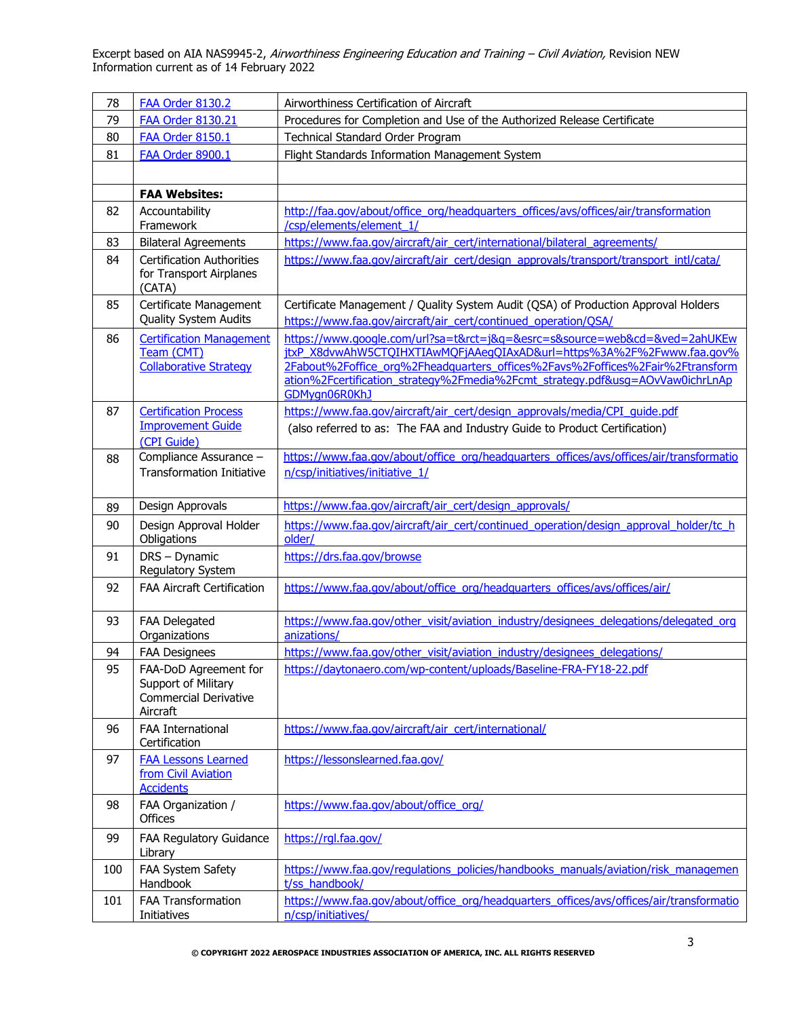| 78  | <b>FAA Order 8130.2</b>                                                                  | Airworthiness Certification of Aircraft                                                                                                                                                                                                                                                                                                |
|-----|------------------------------------------------------------------------------------------|----------------------------------------------------------------------------------------------------------------------------------------------------------------------------------------------------------------------------------------------------------------------------------------------------------------------------------------|
| 79  | <b>FAA Order 8130.21</b>                                                                 | Procedures for Completion and Use of the Authorized Release Certificate                                                                                                                                                                                                                                                                |
| 80  | FAA Order 8150.1                                                                         | Technical Standard Order Program                                                                                                                                                                                                                                                                                                       |
| 81  | FAA Order 8900.1                                                                         | Flight Standards Information Management System                                                                                                                                                                                                                                                                                         |
|     |                                                                                          |                                                                                                                                                                                                                                                                                                                                        |
|     | <b>FAA Websites:</b>                                                                     |                                                                                                                                                                                                                                                                                                                                        |
| 82  | Accountability                                                                           | http://faa.gov/about/office_org/headquarters_offices/avs/offices/air/transformation                                                                                                                                                                                                                                                    |
|     | Framework                                                                                | /csp/elements/element 1/                                                                                                                                                                                                                                                                                                               |
| 83  | <b>Bilateral Agreements</b>                                                              | https://www.faa.gov/aircraft/air_cert/international/bilateral_agreements/                                                                                                                                                                                                                                                              |
| 84  | <b>Certification Authorities</b><br>for Transport Airplanes<br>(CATA)                    | https://www.faa.gov/aircraft/air_cert/design_approvals/transport/transport_intl/cata/                                                                                                                                                                                                                                                  |
| 85  | Certificate Management<br>Quality System Audits                                          | Certificate Management / Quality System Audit (QSA) of Production Approval Holders<br>https://www.faa.gov/aircraft/air_cert/continued_operation/QSA/                                                                                                                                                                                   |
| 86  | <b>Certification Management</b><br>Team (CMT)<br><b>Collaborative Strategy</b>           | https://www.google.com/url?sa=t&rct=j&g=&esrc=s&source=web&cd=&ved=2ahUKEw<br>jtxP X8dvwAhW5CTOIHXTIAwMOFjAAeqOIAxAD&url=https%3A%2F%2Fwww.faa.gov%<br>2Fabout%2Foffice_org%2Fheadquarters_offices%2Favs%2Foffices%2Fair%2Ftransform<br>ation%2Fcertification_strategy%2Fmedia%2Fcmt_strategy.pdf&usg=AOvVaw0ichrLnAp<br>GDMygn06R0KhJ |
| 87  | <b>Certification Process</b><br><b>Improvement Guide</b><br>(CPI Guide)                  | https://www.faa.gov/aircraft/air_cert/design_approvals/media/CPI_quide.pdf<br>(also referred to as: The FAA and Industry Guide to Product Certification)                                                                                                                                                                               |
| 88  | Compliance Assurance -<br><b>Transformation Initiative</b>                               | https://www.faa.gov/about/office_org/headquarters_offices/avs/offices/air/transformatio<br>n/csp/initiatives/initiative 1/                                                                                                                                                                                                             |
| 89  | Design Approvals                                                                         | https://www.faa.gov/aircraft/air_cert/design_approvals/                                                                                                                                                                                                                                                                                |
| 90  | Design Approval Holder<br>Obligations                                                    | https://www.faa.gov/aircraft/air_cert/continued_operation/design_approval_holder/tc_h<br>older/                                                                                                                                                                                                                                        |
| 91  | DRS - Dynamic<br>Regulatory System                                                       | https://drs.faa.gov/browse                                                                                                                                                                                                                                                                                                             |
| 92  | <b>FAA Aircraft Certification</b>                                                        | https://www.faa.gov/about/office_org/headquarters_offices/avs/offices/air/                                                                                                                                                                                                                                                             |
| 93  | FAA Delegated<br>Organizations                                                           | https://www.faa.gov/other_visit/aviation_industry/designees_delegations/delegated_org<br>anizations/                                                                                                                                                                                                                                   |
| 94  | <b>FAA Designees</b>                                                                     | https://www.faa.gov/other_visit/aviation_industry/designees_delegations/                                                                                                                                                                                                                                                               |
| 95  | FAA-DoD Agreement for<br>Support of Military<br><b>Commercial Derivative</b><br>Aircraft | https://daytonaero.com/wp-content/uploads/Baseline-FRA-FY18-22.pdf                                                                                                                                                                                                                                                                     |
| 96  | FAA International<br>Certification                                                       | https://www.faa.gov/aircraft/air_cert/international/                                                                                                                                                                                                                                                                                   |
| 97  | <b>FAA Lessons Learned</b><br>from Civil Aviation<br><b>Accidents</b>                    | https://lessonslearned.faa.gov/                                                                                                                                                                                                                                                                                                        |
| 98  | FAA Organization /<br><b>Offices</b>                                                     | https://www.faa.gov/about/office_org/                                                                                                                                                                                                                                                                                                  |
| 99  | FAA Regulatory Guidance<br>Library                                                       | https://rgl.faa.gov/                                                                                                                                                                                                                                                                                                                   |
| 100 | FAA System Safety<br>Handbook                                                            | https://www.faa.gov/regulations_policies/handbooks_manuals/aviation/risk_managemen<br>t/ss_handbook/                                                                                                                                                                                                                                   |
| 101 | FAA Transformation<br>Initiatives                                                        | https://www.faa.gov/about/office_org/headquarters_offices/avs/offices/air/transformatio<br>n/csp/initiatives/                                                                                                                                                                                                                          |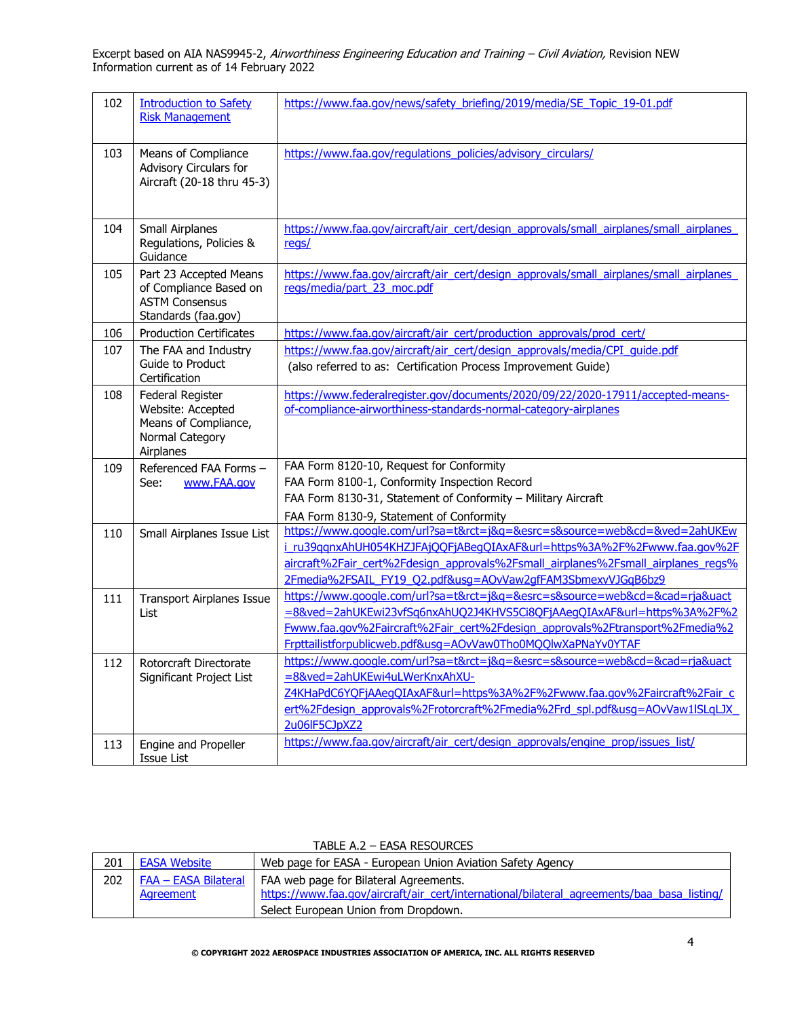| 102 | <b>Introduction to Safety</b><br><b>Risk Management</b>                                          | https://www.faa.gov/news/safety_briefing/2019/media/SE_Topic_19-01.pdf                                                                                                                                                                                                                                   |
|-----|--------------------------------------------------------------------------------------------------|----------------------------------------------------------------------------------------------------------------------------------------------------------------------------------------------------------------------------------------------------------------------------------------------------------|
| 103 | Means of Compliance<br>Advisory Circulars for<br>Aircraft (20-18 thru 45-3)                      | https://www.faa.gov/regulations_policies/advisory_circulars/                                                                                                                                                                                                                                             |
| 104 | Small Airplanes<br>Regulations, Policies &<br>Guidance                                           | https://www.faa.gov/aircraft/air_cert/design_approvals/small_airplanes/small_airplanes<br>regs/                                                                                                                                                                                                          |
| 105 | Part 23 Accepted Means<br>of Compliance Based on<br><b>ASTM Consensus</b><br>Standards (faa.gov) | https://www.faa.gov/aircraft/air_cert/design_approvals/small_airplanes/small_airplanes<br>regs/media/part 23 moc.pdf                                                                                                                                                                                     |
| 106 | <b>Production Certificates</b>                                                                   | https://www.faa.gov/aircraft/air_cert/production_approvals/prod_cert/                                                                                                                                                                                                                                    |
| 107 | The FAA and Industry<br>Guide to Product<br>Certification                                        | https://www.faa.gov/aircraft/air_cert/design_approvals/media/CPI_quide.pdf<br>(also referred to as: Certification Process Improvement Guide)                                                                                                                                                             |
| 108 | Federal Register<br>Website: Accepted<br>Means of Compliance,<br>Normal Category<br>Airplanes    | https://www.federalregister.gov/documents/2020/09/22/2020-17911/accepted-means-<br>of-compliance-airworthiness-standards-normal-category-airplanes                                                                                                                                                       |
| 109 | Referenced FAA Forms -<br>www.FAA.gov<br>See:                                                    | FAA Form 8120-10, Request for Conformity<br>FAA Form 8100-1, Conformity Inspection Record<br>FAA Form 8130-31, Statement of Conformity - Military Aircraft<br>FAA Form 8130-9, Statement of Conformity                                                                                                   |
| 110 | Small Airplanes Issue List                                                                       | https://www.google.com/url?sa=t&rct=j&q=&esrc=s&source=web&cd=&ved=2ahUKEw<br>i_ru39qqnxAhUH054KHZJFAjQQFjABeqQIAxAF&url=https%3A%2F%2Fwww.faa.gov%2F<br>aircraft%2Fair_cert%2Fdesign_approvals%2Fsmall_airplanes%2Fsmall_airplanes_regs%<br>2Fmedia%2FSAIL FY19 Q2.pdf&usq=AOvVaw2qfFAM3SbmexvVJGqB6bz9 |
| 111 | <b>Transport Airplanes Issue</b><br>List                                                         | https://www.google.com/url?sa=t&rct=j&g=&esrc=s&source=web&cd=&cad=rja&uact<br>=8&ved=2ahUKEwi23vfSq6nxAhUQ2J4KHVS5Ci8OFjAAeqQIAxAF&url=https%3A%2F%2<br>Fwww.faa.gov%2Faircraft%2Fair_cert%2Fdesign_approvals%2Ftransport%2Fmedia%2<br>Frpttailistforpublicweb.pdf&usq=AOvVaw0Tho0MQQlwXaPNaYv0YTAF     |
| 112 | Rotorcraft Directorate<br>Significant Project List                                               | https://www.google.com/url?sa=t&rct=j&g=&esrc=s&source=web&cd=&cad=rja&uact<br>=8&ved=2ahUKEwi4uLWerKnxAhXU-<br>Z4KHaPdC6YOFjAAeqQIAxAF&url=https%3A%2F%2Fwww.faa.gov%2Faircraft%2Fair c<br>ert%2Fdesign_approvals%2Frotorcraft%2Fmedia%2Frd_spl.pdf&usq=AOvVaw1ISLqLJX<br>2u06lF5CJpXZ2                 |
| 113 | Engine and Propeller<br><b>Issue List</b>                                                        | https://www.faa.gov/aircraft/air_cert/design_approvals/engine_prop/issues_list/                                                                                                                                                                                                                          |

| 201 | <b>EASA Website</b>                             | Web page for EASA - European Union Aviation Safety Agency                                                                                                                    |
|-----|-------------------------------------------------|------------------------------------------------------------------------------------------------------------------------------------------------------------------------------|
| 202 | <b>FAA – EASA Bilateral</b><br><b>Agreement</b> | FAA web page for Bilateral Agreements.<br>https://www.faa.gov/aircraft/air_cert/international/bilateral_agreements/baa_basa_listing/<br>Select European Union from Dropdown. |

## TABLE A.2 – EASA RESOURCES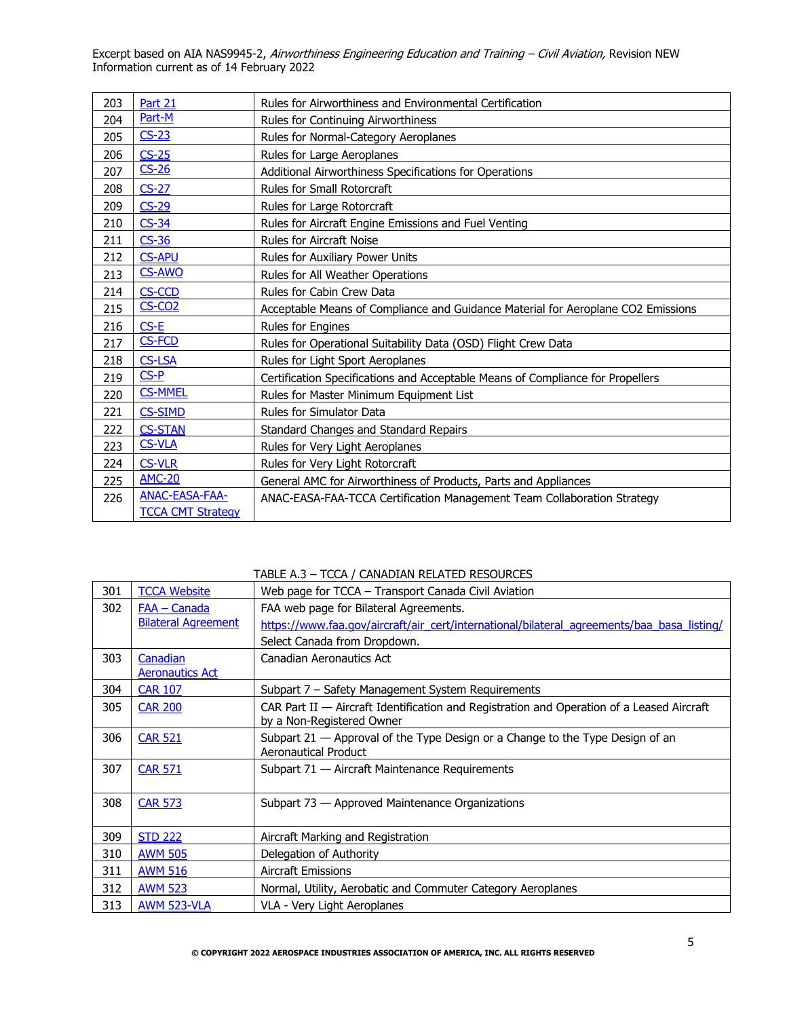| 203 | Part 21                  | Rules for Airworthiness and Environmental Certification                          |
|-----|--------------------------|----------------------------------------------------------------------------------|
| 204 | Part-M                   | Rules for Continuing Airworthiness                                               |
| 205 | $CS-23$                  | Rules for Normal-Category Aeroplanes                                             |
| 206 | $CS-25$                  | Rules for Large Aeroplanes                                                       |
| 207 | $CS-26$                  | Additional Airworthiness Specifications for Operations                           |
| 208 | $CS-27$                  | Rules for Small Rotorcraft                                                       |
| 209 | $CS-29$                  | Rules for Large Rotorcraft                                                       |
| 210 | $CS-34$                  | Rules for Aircraft Engine Emissions and Fuel Venting                             |
| 211 | $CS-36$                  | <b>Rules for Aircraft Noise</b>                                                  |
| 212 | <b>CS-APU</b>            | Rules for Auxiliary Power Units                                                  |
| 213 | <b>CS-AWO</b>            | Rules for All Weather Operations                                                 |
| 214 | <b>CS-CCD</b>            | Rules for Cabin Crew Data                                                        |
| 215 | $CS-CO2$                 | Acceptable Means of Compliance and Guidance Material for Aeroplane CO2 Emissions |
| 216 | $CS-E$                   | Rules for Engines                                                                |
| 217 | <b>CS-FCD</b>            | Rules for Operational Suitability Data (OSD) Flight Crew Data                    |
| 218 | <b>CS-LSA</b>            | Rules for Light Sport Aeroplanes                                                 |
| 219 | $CS-P$                   | Certification Specifications and Acceptable Means of Compliance for Propellers   |
| 220 | <b>CS-MMEL</b>           | Rules for Master Minimum Equipment List                                          |
| 221 | <b>CS-SIMD</b>           | Rules for Simulator Data                                                         |
| 222 | <b>CS-STAN</b>           | Standard Changes and Standard Repairs                                            |
| 223 | <b>CS-VLA</b>            | Rules for Very Light Aeroplanes                                                  |
| 224 | <b>CS-VLR</b>            | Rules for Very Light Rotorcraft                                                  |
| 225 | <b>AMC-20</b>            | General AMC for Airworthiness of Products, Parts and Appliances                  |
| 226 | ANAC-EASA-FAA-           | ANAC-EASA-FAA-TCCA Certification Management Team Collaboration Strategy          |
|     | <b>TCCA CMT Strategy</b> |                                                                                  |

TABLE A.3 – TCCA / CANADIAN RELATED RESOURCES

| 301 | <b>TCCA Website</b>        | Web page for TCCA – Transport Canada Civil Aviation                                        |
|-----|----------------------------|--------------------------------------------------------------------------------------------|
| 302 | FAA - Canada               | FAA web page for Bilateral Agreements.                                                     |
|     | <b>Bilateral Agreement</b> | https://www.faa.gov/aircraft/air_cert/international/bilateral_agreements/baa_basa_listing/ |
|     |                            | Select Canada from Dropdown.                                                               |
| 303 | Canadian                   | Canadian Aeronautics Act                                                                   |
|     | <b>Aeronautics Act</b>     |                                                                                            |
| 304 | <b>CAR 107</b>             | Subpart 7 – Safety Management System Requirements                                          |
| 305 | <b>CAR 200</b>             | CAR Part II - Aircraft Identification and Registration and Operation of a Leased Aircraft  |
|     |                            | by a Non-Registered Owner                                                                  |
| 306 | <b>CAR 521</b>             | Subpart $21$ $-$ Approval of the Type Design or a Change to the Type Design of an          |
|     |                            | Aeronautical Product                                                                       |
| 307 | <b>CAR 571</b>             | Subpart 71 - Aircraft Maintenance Requirements                                             |
|     |                            |                                                                                            |
| 308 | <b>CAR 573</b>             | Subpart 73 - Approved Maintenance Organizations                                            |
|     |                            |                                                                                            |
| 309 | <b>STD 222</b>             | Aircraft Marking and Registration                                                          |
| 310 | <b>AWM 505</b>             | Delegation of Authority                                                                    |
| 311 | <b>AWM 516</b>             | <b>Aircraft Emissions</b>                                                                  |
| 312 | <b>AWM 523</b>             | Normal, Utility, Aerobatic and Commuter Category Aeroplanes                                |
| 313 | AWM 523-VLA                | VLA - Very Light Aeroplanes                                                                |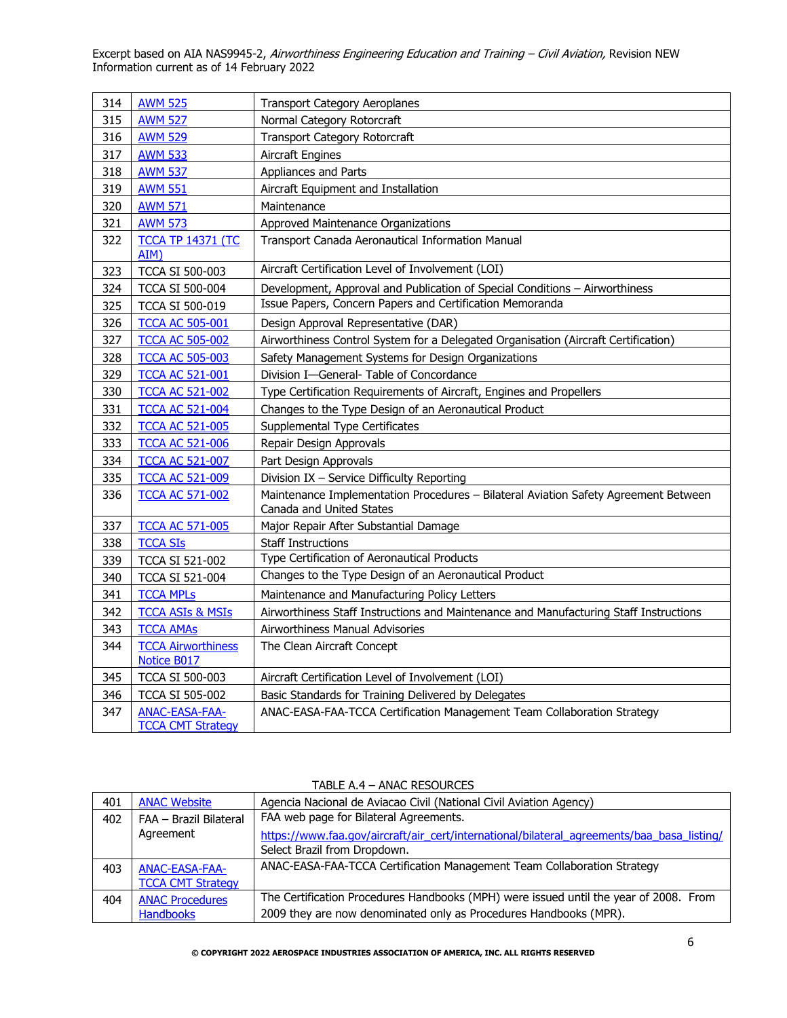| 314 | <b>AWM 525</b>                                    | <b>Transport Category Aeroplanes</b>                                                                            |
|-----|---------------------------------------------------|-----------------------------------------------------------------------------------------------------------------|
| 315 | <b>AWM 527</b>                                    | Normal Category Rotorcraft                                                                                      |
| 316 | <b>AWM 529</b>                                    | <b>Transport Category Rotorcraft</b>                                                                            |
| 317 | <b>AWM 533</b>                                    | <b>Aircraft Engines</b>                                                                                         |
| 318 | <b>AWM 537</b>                                    | Appliances and Parts                                                                                            |
| 319 | <b>AWM 551</b>                                    | Aircraft Equipment and Installation                                                                             |
| 320 | <b>AWM 571</b>                                    | Maintenance                                                                                                     |
| 321 | <b>AWM 573</b>                                    | Approved Maintenance Organizations                                                                              |
| 322 | <b>TCCA TP 14371 (TC</b><br>AIM)                  | Transport Canada Aeronautical Information Manual                                                                |
| 323 | <b>TCCA SI 500-003</b>                            | Aircraft Certification Level of Involvement (LOI)                                                               |
| 324 | <b>TCCA SI 500-004</b>                            | Development, Approval and Publication of Special Conditions - Airworthiness                                     |
| 325 | <b>TCCA SI 500-019</b>                            | Issue Papers, Concern Papers and Certification Memoranda                                                        |
| 326 | <b>TCCA AC 505-001</b>                            | Design Approval Representative (DAR)                                                                            |
| 327 | <b>TCCA AC 505-002</b>                            | Airworthiness Control System for a Delegated Organisation (Aircraft Certification)                              |
| 328 | <b>TCCA AC 505-003</b>                            | Safety Management Systems for Design Organizations                                                              |
| 329 | <b>TCCA AC 521-001</b>                            | Division I-General- Table of Concordance                                                                        |
| 330 | <b>TCCA AC 521-002</b>                            | Type Certification Requirements of Aircraft, Engines and Propellers                                             |
| 331 | <b>TCCA AC 521-004</b>                            | Changes to the Type Design of an Aeronautical Product                                                           |
| 332 | <b>TCCA AC 521-005</b>                            | Supplemental Type Certificates                                                                                  |
| 333 | <b>TCCA AC 521-006</b>                            | Repair Design Approvals                                                                                         |
| 334 | <b>TCCA AC 521-007</b>                            | Part Design Approvals                                                                                           |
| 335 | <b>TCCA AC 521-009</b>                            | Division IX - Service Difficulty Reporting                                                                      |
| 336 | <b>TCCA AC 571-002</b>                            | Maintenance Implementation Procedures - Bilateral Aviation Safety Agreement Between<br>Canada and United States |
| 337 | <b>TCCA AC 571-005</b>                            | Major Repair After Substantial Damage                                                                           |
| 338 | <b>TCCA SIs</b>                                   | <b>Staff Instructions</b>                                                                                       |
| 339 | <b>TCCA SI 521-002</b>                            | Type Certification of Aeronautical Products                                                                     |
| 340 | <b>TCCA SI 521-004</b>                            | Changes to the Type Design of an Aeronautical Product                                                           |
| 341 | <b>TCCA MPLs</b>                                  | Maintenance and Manufacturing Policy Letters                                                                    |
| 342 | <b>TCCA ASIs &amp; MSIs</b>                       | Airworthiness Staff Instructions and Maintenance and Manufacturing Staff Instructions                           |
| 343 | <b>TCCA AMAs</b>                                  | Airworthiness Manual Advisories                                                                                 |
| 344 | <b>TCCA Airworthiness</b><br>Notice B017          | The Clean Aircraft Concept                                                                                      |
| 345 | <b>TCCA SI 500-003</b>                            | Aircraft Certification Level of Involvement (LOI)                                                               |
| 346 | <b>TCCA SI 505-002</b>                            | Basic Standards for Training Delivered by Delegates                                                             |
| 347 | <b>ANAC-EASA-FAA-</b><br><b>TCCA CMT Strategy</b> | ANAC-EASA-FAA-TCCA Certification Management Team Collaboration Strategy                                         |

| 401 | <b>ANAC Website</b>      | Agencia Nacional de Aviacao Civil (National Civil Aviation Agency)                                                         |
|-----|--------------------------|----------------------------------------------------------------------------------------------------------------------------|
| 402 | FAA - Brazil Bilateral   | FAA web page for Bilateral Agreements.                                                                                     |
|     | Agreement                | https://www.faa.gov/aircraft/air_cert/international/bilateral_agreements/baa_basa_listing/<br>Select Brazil from Dropdown. |
| 403 | ANAC-EASA-FAA-           | ANAC-EASA-FAA-TCCA Certification Management Team Collaboration Strategy                                                    |
|     | <b>TCCA CMT Strategy</b> |                                                                                                                            |
| 404 | <b>ANAC Procedures</b>   | The Certification Procedures Handbooks (MPH) were issued until the year of 2008. From                                      |
|     | <b>Handbooks</b>         | 2009 they are now denominated only as Procedures Handbooks (MPR).                                                          |

# TABLE A.4 – ANAC RESOURCES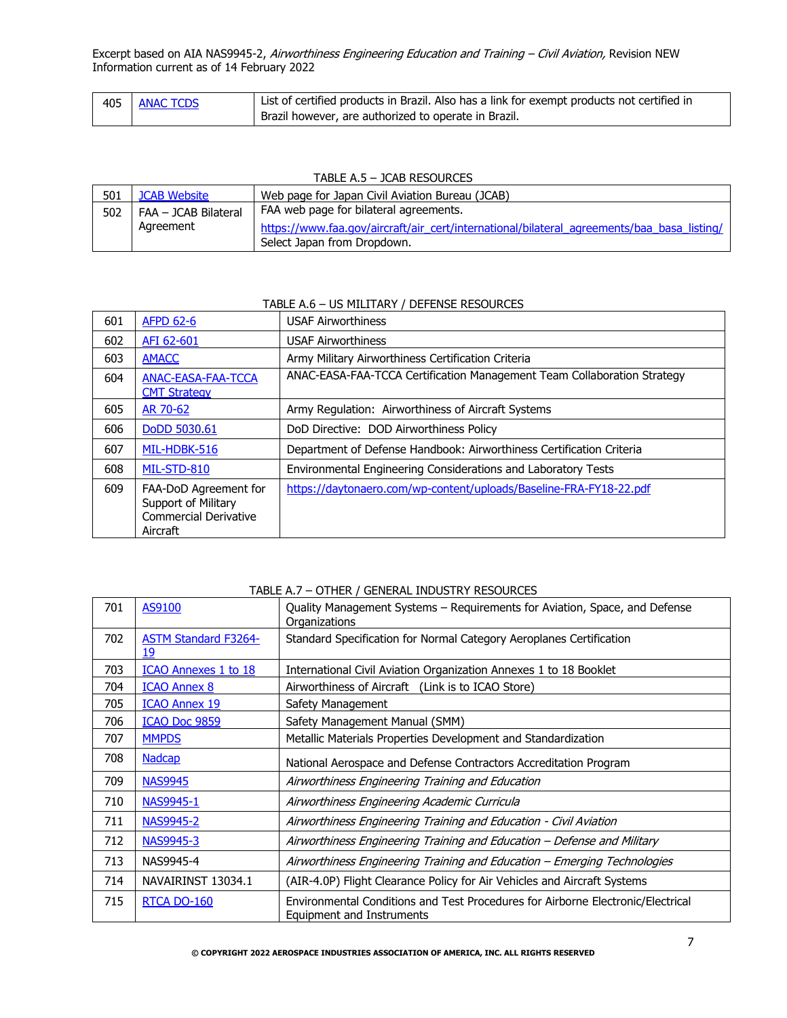| 405 | <b>ANAC TCDS</b> | List of certified products in Brazil. Also has a link for exempt products not certified in |
|-----|------------------|--------------------------------------------------------------------------------------------|
|     |                  | Brazil however, are authorized to operate in Brazil.                                       |

### TABLE A.5 – JCAB RESOURCES

| 501 | <b>JCAB Website</b>  | Web page for Japan Civil Aviation Bureau (JCAB)                                            |
|-----|----------------------|--------------------------------------------------------------------------------------------|
| 502 | FAA - JCAB Bilateral | FAA web page for bilateral agreements.                                                     |
|     | Agreement            | https://www.faa.gov/aircraft/air_cert/international/bilateral_agreements/baa_basa_listing/ |
|     |                      | Select Japan from Dropdown.                                                                |

### TABLE A.6 – US MILITARY / DEFENSE RESOURCES

| 601 | <b>AFPD 62-6</b>                                                                         | <b>USAF Airworthiness</b>                                               |
|-----|------------------------------------------------------------------------------------------|-------------------------------------------------------------------------|
| 602 | AFI 62-601                                                                               | <b>USAF Airworthiness</b>                                               |
| 603 | <b>AMACC</b>                                                                             | Army Military Airworthiness Certification Criteria                      |
| 604 | <b>ANAC-EASA-FAA-TCCA</b><br><b>CMT Strategy</b>                                         | ANAC-EASA-FAA-TCCA Certification Management Team Collaboration Strategy |
| 605 | AR 70-62                                                                                 | Army Regulation: Airworthiness of Aircraft Systems                      |
| 606 | DoDD 5030.61                                                                             | DoD Directive: DOD Airworthiness Policy                                 |
| 607 | MIL-HDBK-516                                                                             | Department of Defense Handbook: Airworthiness Certification Criteria    |
| 608 | MIL-STD-810                                                                              | Environmental Engineering Considerations and Laboratory Tests           |
| 609 | FAA-DoD Agreement for<br>Support of Military<br><b>Commercial Derivative</b><br>Aircraft | https://daytonaero.com/wp-content/uploads/Baseline-FRA-FY18-22.pdf      |

### TABLE A.7 – OTHER / GENERAL INDUSTRY RESOURCES

| 701 | AS9100                            | Quality Management Systems – Requirements for Aviation, Space, and Defense<br>Organizations                  |
|-----|-----------------------------------|--------------------------------------------------------------------------------------------------------------|
| 702 | <b>ASTM Standard F3264-</b><br>19 | Standard Specification for Normal Category Aeroplanes Certification                                          |
| 703 | <b>ICAO Annexes 1 to 18</b>       | International Civil Aviation Organization Annexes 1 to 18 Booklet                                            |
| 704 | <b>ICAO Annex 8</b>               | Airworthiness of Aircraft (Link is to ICAO Store)                                                            |
| 705 | <b>ICAO Annex 19</b>              | Safety Management                                                                                            |
| 706 | <b>ICAO Doc 9859</b>              | Safety Management Manual (SMM)                                                                               |
| 707 | <b>MMPDS</b>                      | Metallic Materials Properties Development and Standardization                                                |
| 708 | <b>Nadcap</b>                     | National Aerospace and Defense Contractors Accreditation Program                                             |
| 709 | <b>NAS9945</b>                    | Airworthiness Engineering Training and Education                                                             |
| 710 | NAS9945-1                         | Airworthiness Engineering Academic Curricula                                                                 |
| 711 | NAS9945-2                         | Airworthiness Engineering Training and Education - Civil Aviation                                            |
| 712 | NAS9945-3                         | Airworthiness Engineering Training and Education – Defense and Military                                      |
| 713 | NAS9945-4                         | Airworthiness Engineering Training and Education – Emerging Technologies                                     |
| 714 | NAVAIRINST 13034.1                | (AIR-4.0P) Flight Clearance Policy for Air Vehicles and Aircraft Systems                                     |
| 715 | <b>RTCA DO-160</b>                | Environmental Conditions and Test Procedures for Airborne Electronic/Electrical<br>Equipment and Instruments |